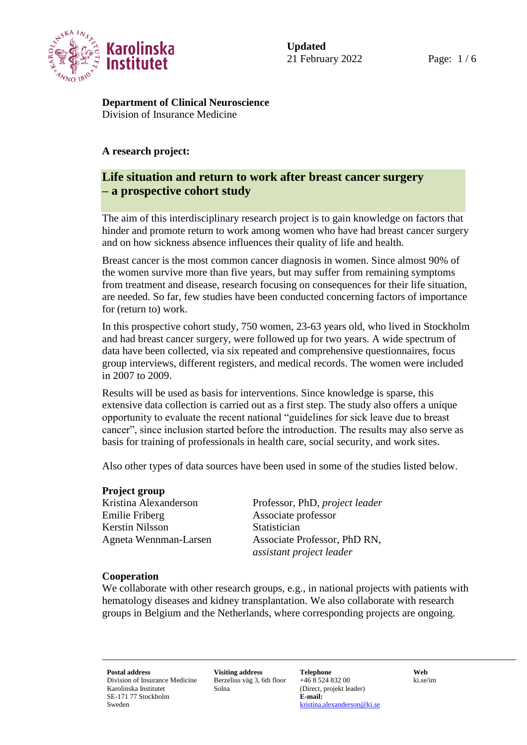

**Department of Clinical Neuroscience** Division of Insurance Medicine

#### **A research project:**

# **Life situation and return to work after breast cancer surgery – a prospective cohort study**

The aim of this interdisciplinary research project is to gain knowledge on factors that hinder and promote return to work among women who have had breast cancer surgery and on how sickness absence influences their quality of life and health.

Breast cancer is the most common cancer diagnosis in women. Since almost 90% of the women survive more than five years, but may suffer from remaining symptoms from treatment and disease, research focusing on consequences for their life situation, are needed. So far, few studies have been conducted concerning factors of importance for (return to) work.

In this prospective cohort study, 750 women, 23-63 years old, who lived in Stockholm and had breast cancer surgery, were followed up for two years. A wide spectrum of data have been collected, via six repeated and comprehensive questionnaires, focus group interviews, different registers, and medical records. The women were included in 2007 to 2009.

Results will be used as basis for interventions. Since knowledge is sparse, this extensive data collection is carried out as a first step. The study also offers a unique opportunity to evaluate the recent national "guidelines for sick leave due to breast cancer", since inclusion started before the introduction. The results may also serve as basis for training of professionals in health care, social security, and work sites.

Also other types of data sources have been used in some of the studies listed below.

#### **Project group**

Emilie Friberg Associate professor Kerstin Nilsson Statistician

Kristina Alexanderson Professor, PhD, *project leader* Agneta Wennman-Larsen Associate Professor, PhD RN, *assistant project leader*

#### **Cooperation**

We collaborate with other research groups, e.g., in national projects with patients with hematology diseases and kidney transplantation. We also collaborate with research groups in Belgium and the Netherlands, where corresponding projects are ongoing.

Division of Insurance Medicine Karolinska Institutet SE-171 77 Stockholm Sweden

Berzelius väg 3, 6th floor Solna

**Postal address Visiting address Telephone Web** +46 8 524 832 00 (Direct, projekt leader) **E-mail:** [kristina.alexanderson@ki.se](mailto:kristina.alexanderson@ki.se)

ki.se/im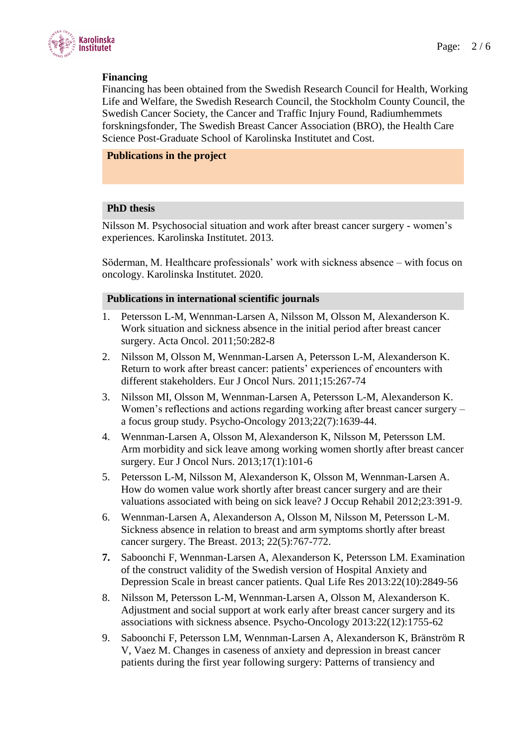

# **Financing**

Financing has been obtained from the Swedish Research Council for Health, Working Life and Welfare, the Swedish Research Council, the Stockholm County Council, the Swedish Cancer Society, the Cancer and Traffic Injury Found, Radiumhemmets forskningsfonder, The Swedish Breast Cancer Association (BRO), the Health Care Science Post-Graduate School of Karolinska Institutet and Cost.

#### **Publications in the project**

### **PhD thesis**

Nilsson M. Psychosocial situation and work after breast cancer surgery - women's experiences. Karolinska Institutet. 2013.

Söderman, M. Healthcare professionals' work with sickness absence – with focus on oncology. Karolinska Institutet. 2020.

#### **Publications in international scientific journals**

- 1. Petersson L-M, Wennman-Larsen A, Nilsson M, Olsson M, Alexanderson K. Work situation and sickness absence in the initial period after breast cancer surgery. Acta Oncol. 2011;50:282-8
- 2. Nilsson M, Olsson M, Wennman-Larsen A, Petersson L-M, Alexanderson K. Return to work after breast cancer: patients' experiences of encounters with different stakeholders. Eur J Oncol Nurs. 2011;15:267-74
- 3. Nilsson MI, Olsson M, Wennman-Larsen A, Petersson L-M, Alexanderson K. Women's reflections and actions regarding working after breast cancer surgery – a focus group study. Psycho-Oncology 2013;22(7):1639-44.
- 4. Wennman-Larsen A, Olsson M, Alexanderson K, Nilsson M, Petersson LM. Arm morbidity and sick leave among working women shortly after breast cancer surgery. Eur J Oncol Nurs. 2013;17(1):101-6
- 5. Petersson L-M, Nilsson M, Alexanderson K, Olsson M, Wennman-Larsen A. How do women value work shortly after breast cancer surgery and are their valuations associated with being on sick leave? J Occup Rehabil 2012;23:391-9.
- 6. Wennman-Larsen A, Alexanderson A, Olsson M, Nilsson M, Petersson L-M. Sickness absence in relation to breast and arm symptoms shortly after breast cancer surgery. The Breast. 2013; 22(5):767-772.
- **7.** Saboonchi F, Wennman-Larsen A, Alexanderson K, Petersson LM. Examination of the construct validity of the Swedish version of Hospital Anxiety and Depression Scale in breast cancer patients. Qual Life Res 2013:22(10):2849-56
- 8. Nilsson M, Petersson L-M, Wennman-Larsen A, Olsson M, Alexanderson K. Adjustment and social support at work early after breast cancer surgery and its associations with sickness absence. Psycho-Oncology 2013:22(12):1755-62
- 9. Saboonchi F, Petersson LM, Wennman-Larsen A, Alexanderson K, Bränström R V, Vaez M. Changes in caseness of anxiety and depression in breast cancer patients during the first year following surgery: Patterns of transiency and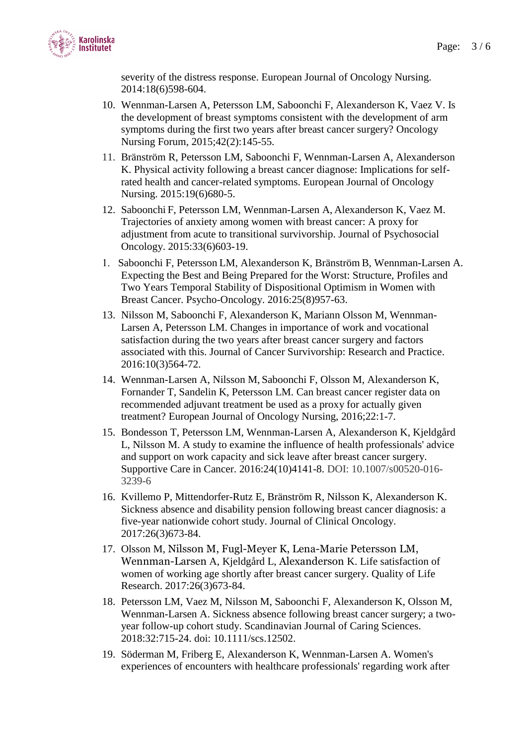

severity of the distress response. European Journal of Oncology Nursing. 2014:18(6)598-604.

- 10. Wennman-Larsen A, Petersson LM, Saboonchi F, Alexanderson K, Vaez V. Is the development of breast symptoms consistent with the development of arm symptoms during the first two years after breast cancer surgery? Oncology Nursing Forum, 2015;42(2):145-55.
- 11. Bränström R, Petersson LM, Saboonchi F, Wennman-Larsen A, Alexanderson K. Physical activity following a breast cancer diagnose: Implications for selfrated health and cancer-related symptoms. European Journal of Oncology Nursing. 2015:19(6)680-5.
- 12. Saboonchi F, Petersson LM, Wennman-Larsen A, Alexanderson K, Vaez M. Trajectories of anxiety among women with breast cancer: A proxy for adjustment from acute to transitional survivorship. Journal of Psychosocial Oncology. 2015:33(6)603-19.
- Saboonchi F, Petersson LM, Alexanderson K, Bränström B, Wennman-Larsen A. Expecting the Best and Being Prepared for the Worst: Structure, Profiles and Two Years Temporal Stability of Dispositional Optimism in Women with Breast Cancer. Psycho-Oncology. 2016:25(8)957-63.
- 13. Nilsson M, Saboonchi F, Alexanderson K, Mariann Olsson M, Wennman-Larsen A, Petersson LM. Changes in importance of work and vocational satisfaction during the two years after breast cancer surgery and factors associated with this. Journal of Cancer Survivorship: Research and Practice. 2016:10(3)564-72.
- 14. Wennman-Larsen A, Nilsson M, Saboonchi F, Olsson M, Alexanderson K, Fornander T, Sandelin K, Petersson LM. Can breast cancer register data on recommended adjuvant treatment be used as a proxy for actually given treatment? European Journal of Oncology Nursing, 2016;22:1-7.
- 15. Bondesson T, Petersson LM, Wennman-Larsen A, Alexanderson K, Kjeldgård L, Nilsson M. A study to examine the influence of health professionals' advice and support on work capacity and sick leave after breast cancer surgery. Supportive Care in Cancer. 2016:24(10)4141-8. DOI: 10.1007/s00520-016- 3239-6
- 16. Kvillemo P, Mittendorfer-Rutz E, Bränström R, Nilsson K, Alexanderson K. Sickness absence and disability pension following breast cancer diagnosis: a five-year nationwide cohort study. Journal of Clinical Oncology. 2017:26(3)673-84.
- 17. Olsson M, Nilsson M, Fugl-Meyer K, Lena-Marie Petersson LM, Wennman-Larsen A, Kjeldgård L, Alexanderson K. Life satisfaction of women of working age shortly after breast cancer surgery. Quality of Life Research. 2017:26(3)673-84.
- 18. Petersson LM, Vaez M, Nilsson M, Saboonchi F, Alexanderson K, Olsson M, Wennman-Larsen A. Sickness absence following breast cancer surgery; a twoyear follow-up cohort study. Scandinavian Journal of Caring Sciences. 2018:32:715-24. doi: 10.1111/scs.12502.
- 19. Söderman M, Friberg E, Alexanderson K, Wennman-Larsen A. Women's experiences of encounters with healthcare professionals' regarding work after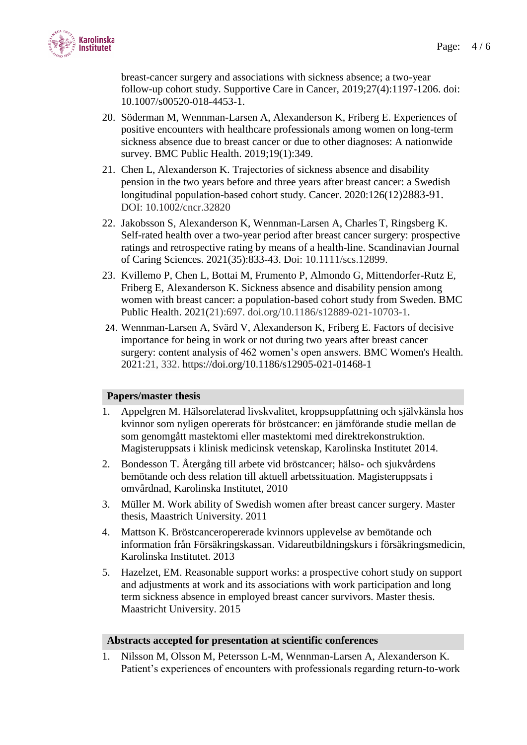

breast-cancer surgery and associations with sickness absence; a two-year follow-up cohort study. Supportive Care in Cancer, 2019;27(4):1197-1206. doi: 10.1007/s00520-018-4453-1.

- 20. Söderman M, Wennman-Larsen A, Alexanderson K, Friberg E. Experiences of positive encounters with healthcare professionals among women on long-term sickness absence due to breast cancer or due to other diagnoses: A nationwide survey. BMC Public Health. 2019;19(1):349.
- 21. Chen L, Alexanderson K. Trajectories of sickness absence and disability pension in the two years before and three years after breast cancer: a Swedish longitudinal population-based cohort study. Cancer. 2020:126(12)2883-91. DOI: 10.1002/cncr.32820
- 22. Jakobsson S, Alexanderson K, Wennman-Larsen A, Charles T, Ringsberg K. Self-rated health over a two-year period after breast cancer surgery: prospective ratings and retrospective rating by means of a health-line. Scandinavian Journal of Caring Sciences. 2021(35):833-43. Doi: 10.1111/scs.12899.
- 23. Kvillemo P, Chen L, Bottai M, Frumento P, Almondo G, Mittendorfer-Rutz E, Friberg E, Alexanderson K. Sickness absence and disability pension among women with breast cancer: a population-based cohort study from Sweden. BMC Public Health. 2021(21):697. doi.org/10.1186/s12889-021-10703-1.
- 24. Wennman-Larsen A, Svärd V, Alexanderson K, Friberg E. Factors of decisive importance for being in work or not during two years after breast cancer surgery: content analysis of 462 women's open answers. BMC Women's Health. 2021:21, 332.<https://doi.org/10.1186/s12905-021-01468-1>

# **Papers/master thesis**

- 1. Appelgren M. Hälsorelaterad livskvalitet, kroppsuppfattning och självkänsla hos kvinnor som nyligen opererats för bröstcancer: en jämförande studie mellan de som genomgått mastektomi eller mastektomi med direktrekonstruktion. Magisteruppsats i klinisk medicinsk vetenskap, Karolinska Institutet 2014.
- 2. Bondesson T. Återgång till arbete vid bröstcancer; hälso- och sjukvårdens bemötande och dess relation till aktuell arbetssituation. Magisteruppsats i omvårdnad, Karolinska Institutet, 2010
- 3. Müller M. Work ability of Swedish women after breast cancer surgery. Master thesis, Maastrich University. 2011
- 4. Mattson K. Bröstcanceropererade kvinnors upplevelse av bemötande och information från Försäkringskassan. Vidareutbildningskurs i försäkringsmedicin, Karolinska Institutet. 2013
- 5. Hazelzet, EM. Reasonable support works: a prospective cohort study on support and adjustments at work and its associations with work participation and long term sickness absence in employed breast cancer survivors. Master thesis. Maastricht University. 2015

#### **Abstracts accepted for presentation at scientific conferences**

1. Nilsson M, Olsson M, Petersson L-M, Wennman-Larsen A, Alexanderson K*.*  Patient's experiences of encounters with professionals regarding return-to-work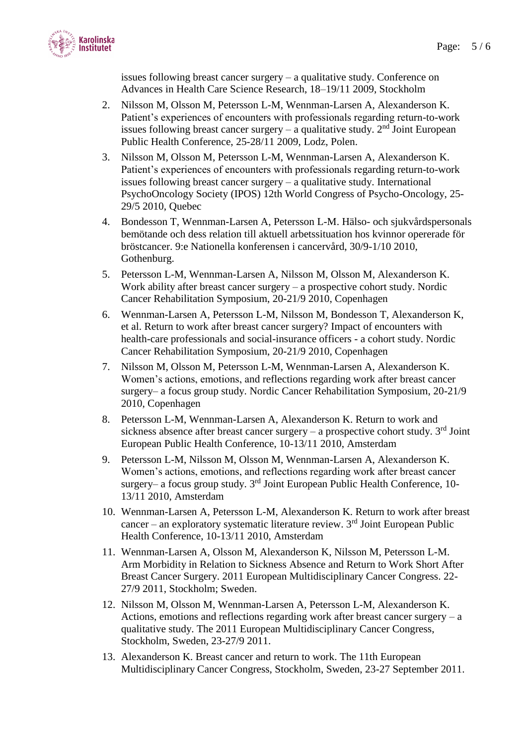

issues following breast cancer surgery – a qualitative study. Conference on Advances in Health Care Science Research, 18–19/11 2009, Stockholm

- 2. Nilsson M, Olsson M, Petersson L-M, Wennman-Larsen A, Alexanderson K. Patient's experiences of encounters with professionals regarding return-to-work issues following breast cancer surgery – a qualitative study.  $2<sup>nd</sup>$  Joint European Public Health Conference, 25-28/11 2009, Lodz, Polen.
- 3. Nilsson M, Olsson M, Petersson L-M, Wennman-Larsen A, Alexanderson K. Patient's experiences of encounters with professionals regarding return-to-work issues following breast cancer surgery – a qualitative study. International PsychoOncology Society (IPOS) 12th World Congress of Psycho-Oncology, 25- 29/5 2010, Quebec
- 4. Bondesson T, Wennman-Larsen A, Petersson L-M. Hälso- och sjukvårdspersonals bemötande och dess relation till aktuell arbetssituation hos kvinnor opererade för bröstcancer. 9:e Nationella konferensen i cancervård, 30/9-1/10 2010, Gothenburg.
- 5. Petersson L-M, Wennman-Larsen A, Nilsson M, Olsson M, Alexanderson K. Work ability after breast cancer surgery – a prospective cohort study. Nordic Cancer Rehabilitation Symposium, 20-21/9 2010, Copenhagen
- 6. Wennman-Larsen A, Petersson L-M, Nilsson M, Bondesson T, Alexanderson K, et al. Return to work after breast cancer surgery? Impact of encounters with health-care professionals and social-insurance officers - a cohort study. Nordic Cancer Rehabilitation Symposium, 20-21/9 2010, Copenhagen
- 7. Nilsson M, Olsson M, Petersson L-M, Wennman-Larsen A, Alexanderson K. Women's actions, emotions, and reflections regarding work after breast cancer surgery– a focus group study. Nordic Cancer Rehabilitation Symposium, 20-21/9 2010, Copenhagen
- 8. Petersson L-M, Wennman-Larsen A, Alexanderson K. Return to work and sickness absence after breast cancer surgery  $-$  a prospective cohort study.  $3<sup>rd</sup>$  Joint European Public Health Conference, 10-13/11 2010, Amsterdam
- 9. Petersson L-M, Nilsson M, Olsson M, Wennman-Larsen A, Alexanderson K. Women's actions, emotions, and reflections regarding work after breast cancer surgery– a focus group study.  $3<sup>rd</sup>$  Joint European Public Health Conference, 10-13/11 2010, Amsterdam
- 10. Wennman-Larsen A, Petersson L-M, Alexanderson K. Return to work after breast cancer – an exploratory systematic literature review.  $3<sup>rd</sup>$  Joint European Public Health Conference, 10-13/11 2010, Amsterdam
- 11. Wennman-Larsen A, Olsson M, Alexanderson K, Nilsson M, Petersson L-M. Arm Morbidity in Relation to Sickness Absence and Return to Work Short After Breast Cancer Surgery. 2011 European Multidisciplinary Cancer Congress. 22- 27/9 2011, Stockholm; Sweden.
- 12. Nilsson M, Olsson M, Wennman-Larsen A, Petersson L-M, Alexanderson K. Actions, emotions and reflections regarding work after breast cancer surgery – a qualitative study. The 2011 European Multidisciplinary Cancer Congress, Stockholm, Sweden, 23-27/9 2011.
- 13. Alexanderson K. Breast cancer and return to work. The 11th European Multidisciplinary Cancer Congress, Stockholm, Sweden, 23-27 September 2011.